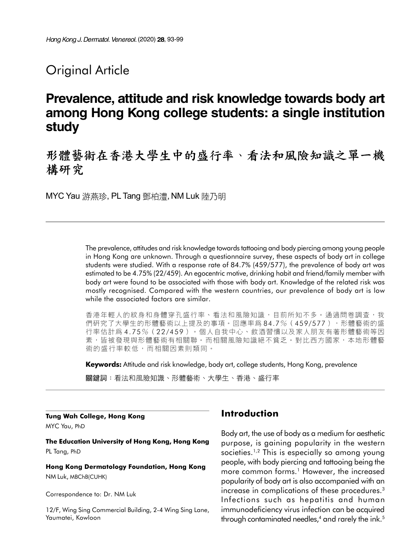## **Original Article**

# Prevalence, attitude and risk knowledge towards body art among Hong Kong college students: a single institution study

形體藝術在香港大學生中的盛行率、看法和風險知識之單一機 構研究

MYC Yau 游燕珍, PL Tang 鄧柏澧, NM Luk 陸乃明

The prevalence, attitudes and risk knowledge towards tattooing and body piercing among young people in Hong Kong are unknown. Through a questionnaire survey, these aspects of body art in college students were studied. With a response rate of 84.7% (459/577), the prevalence of body art was estimated to be 4.75% (22/459). An egocentric motive, drinking habit and friend/family member with body art were found to be associated with those with body art. Knowledge of the related risk was mostly recognised. Compared with the western countries, our prevalence of body art is low while the associated factors are similar.

香港年輕人的紋身和身體穿孔盛行率、看法和風險知識,目前所知不多。通過問卷調查,我 們研究了大學生的形體藝術以上提及的事項。回應率為 84.7%(459/577),形體藝術的盛 行率估計為 4. 75%(22 /45 9)。個人自我中心、飲酒習慣以及家人朋友有著形體藝術等因 素,皆被發現與形體藝術有相關聯。而相關風險知識絕不貧乏。對比西方國家,本地形體藝 術的盛行率較低,而相關因素則類同。

Keywords: Attitude and risk knowledge, body art, college students, Hong Kong, prevalence

關鍵詞:看法和風險知識、形體藝術、大學牛、香港、盛行率

Tung Wah College, Hong Kong

MYC Yau, PhD

The Education University of Hong Kong, Hong Kong PL Tang, PhD

Hong Kong Dermatology Foundation, Hong Kong NM Luk, MBChB(CUHK)

Correspondence to: Dr. NM Luk

12/F, Wing Sing Commercial Building, 2-4 Wing Sing Lane, Yaumatei, Kowloon

## Introduction

Body art, the use of body as a medium for aesthetic purpose, is gaining popularity in the western societies.<sup>1,2</sup> This is especially so among young people, with body piercing and tattooing being the more common forms.<sup>1</sup> However, the increased popularity of body art is also accompanied with an increase in complications of these procedures.<sup>3</sup> Infections such as hepatitis and human immunodeficiency virus infection can be acquired through contaminated needles,<sup>4</sup> and rarely the ink.<sup>5</sup>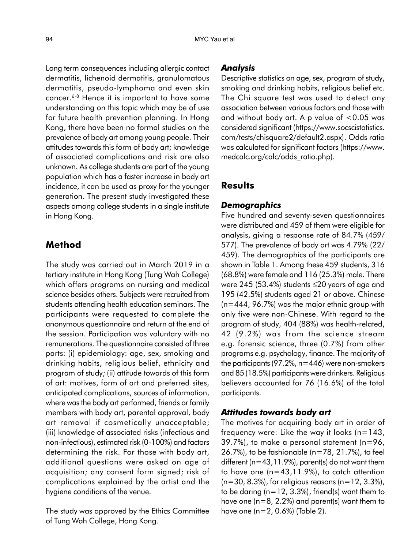Long term consequences including allergic contact dermatitis, lichenoid dermatitis, granulomatous dermatitis, pseudo-lymphoma and even skin cancer.<sup>6-8</sup> Hence it is important to have some understanding on this topic which may be of use for future health prevention planning. In Hong Kong, there have been no formal studies on the prevalence of body art among young people. Their attitudes towards this form of body art; knowledge of associated complications and risk are also unknown. As college students are part of the young population which has a faster increase in body art incidence, it can be used as proxy for the younger generation. The present study investigated these aspects among college students in a single institute in Hong Kong.

### Method

The study was carried out in March 2019 in a tertiary institute in Hong Kong (Tung Wah College) which offers programs on nursing and medical science besides others. Subjects were recruited from students attending health education seminars. The participants were requested to complete the anonymous questionnaire and return at the end of the session. Participation was voluntary with no remunerations. The questionnaire consisted of three parts: (i) epidemiology: age, sex, smoking and drinking habits, religious belief, ethnicity and program of study; (ii) attitude towards of this form of art: motives, form of art and preferred sites, anticipated complications, sources of information, where was the body art performed, friends or family members with body art, parental approval, body art removal if cosmetically unacceptable; (iii) knowledge of associated risks (infectious and non-infectious), estimated risk (0-100%) and factors determining the risk. For those with body art, additional questions were asked on age of acquisition; any consent form signed; risk of complications explained by the artist and the hygiene conditions of the venue.

The study was approved by the Ethics Committee of Tung Wah College, Hong Kong.

#### Analysis

Descriptive statistics on age, sex, program of study, smoking and drinking habits, religious belief etc. The Chi square test was used to detect any association between various factors and those with and without body art. A p value of <0.05 was considered significant (https://www.socscistatistics. com/tests/chisquare2/default2.aspx). Odds ratio was calculated for significant factors (https://www. medcalc.org/calc/odds\_ratio.php).

## **Results**

#### Demographics

Five hundred and seventy-seven questionnaires were distributed and 459 of them were eligible for analysis, giving a response rate of 84.7% (459/ 577). The prevalence of body art was 4.79% (22/ 459). The demographics of the participants are shown in Table 1. Among these 459 students, 316 (68.8%) were female and 116 (25.3%) male. There were 245 (53.4%) students 20 years of age and 195 (42.5%) students aged 21 or above. Chinese (n=444, 96.7%) was the major ethnic group with only five were non-Chinese. With regard to the program of study, 404 (88%) was health-related, 42 (9.2%) was from the science stream e.g. forensic science, three (0.7%) from other programs e.g. psychology, finance. The majority of the participants (97.2%, n=446) were non-smokers and 85 (18.5%) participants were drinkers. Religious believers accounted for 76 (16.6%) of the total participants.

#### Attitudes towards body art

The motives for acquiring body art in order of frequency were: Like the way it looks  $(n=143,$ 39.7%), to make a personal statement (n=96, 26.7%), to be fashionable (n=78, 21.7%), to feel different ( $n=43,11.9%$ ), parent(s) do not want them to have one (n=43,11.9%), to catch attention  $(n=30, 8.3\%)$ , for religious reasons  $(n=12, 3.3\%)$ , to be daring ( $n=12$ , 3.3%), friend(s) want them to have one ( $n=8$ , 2.2%) and parent(s) want them to have one (n=2, 0.6%) (Table 2).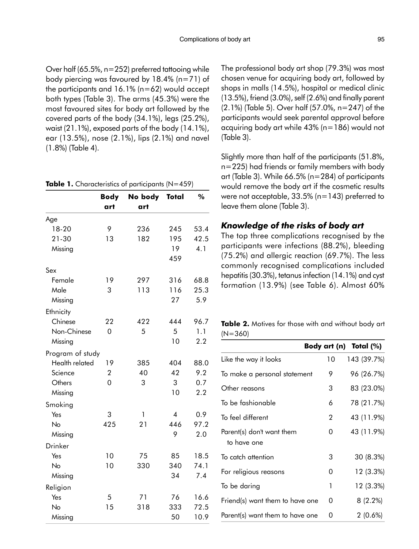Over half (65.5%, n=252) preferred tattooing while body piercing was favoured by 18.4% (n=71) of the participants and  $16.1\%$  (n=62) would accept both types (Table 3). The arms (45.3%) were the most favoured sites for body art followed by the covered parts of the body (34.1%), legs (25.2%), waist (21.1%), exposed parts of the body (14.1%), ear (13.5%), nose (2.1%), lips (2.1%) and navel (1.8%) (Table 4).

|  | Table 1. Characteristics of participants (N=459) |  |  |
|--|--------------------------------------------------|--|--|
|--|--------------------------------------------------|--|--|

|                  | <b>Body</b>    | No body | Total          | %    |
|------------------|----------------|---------|----------------|------|
|                  | art            | art     |                |      |
| Age              |                |         |                |      |
| 18-20            | 9              | 236     | 245            | 53.4 |
| 21-30            | 13             | 182     | 195            | 42.5 |
| Missing          |                |         | 19             | 4.1  |
|                  |                |         | 459            |      |
| Sex              |                |         |                |      |
| Female           | 19             | 297     | 316            | 68.8 |
| Male             | 3              | 113     | 116            | 25.3 |
| Missing          |                |         | 27             | 5.9  |
| Ethnicity        |                |         |                |      |
| Chinese          | 22             | 422     | 444            | 96.7 |
| Non-Chinese      | $\overline{0}$ | 5       | 5              | 1.1  |
| Missing          |                |         | 10             | 2.2  |
| Program of study |                |         |                |      |
| Health related   | 19             | 385     | 404            | 88.0 |
| Science          | $\overline{2}$ | 40      | 42             | 9.2  |
| Others           | 0              | 3       | 3              | 0.7  |
| Missing          |                |         | 10             | 2.2  |
| Smoking          |                |         |                |      |
| Yes              | 3              | 1       | $\overline{4}$ | 0.9  |
| No               | 425            | 21      | 446            | 97.2 |
| Missing          |                |         | 9              | 2.0  |
| <b>Drinker</b>   |                |         |                |      |
| Yes              | 10             | 75      | 85             | 18.5 |
| No               | 10             | 330     | 340            | 74.1 |
| Missing          |                |         | 34             | 7.4  |
| Religion         |                |         |                |      |
| Yes              | 5              | 71      | 76             | 16.6 |
| No               | 15             | 318     | 333            | 72.5 |
| Missing          |                |         | 50             | 10.9 |

The professional body art shop (79.3%) was most chosen venue for acquiring body art, followed by shops in malls (14.5%), hospital or medical clinic (13.5%), friend (3.0%), self (2.6%) and finally parent (2.1%) (Table 5). Over half (57.0%, n=247) of the participants would seek parental approval before acquiring body art while 43% (n=186) would not (Table 3).

Slightly more than half of the participants (51.8%, n=225) had friends or family members with body art (Table 3). While 66.5% (n=284) of participants would remove the body art if the cosmetic results were not acceptable, 33.5% (n=143) preferred to leave them alone (Table 3).

#### Knowledge of the risks of body art

The top three complications recognised by the participants were infections (88.2%), bleeding (75.2%) and allergic reaction (69.7%). The less commonly recognised complications included hepatitis (30.3%), tetanus infection (14.1%) and cyst formation (13.9%) (see Table 6). Almost 60%

Table 2. Motives for those with and without body art (N=360)

|                                          |    | Body art (n) Total $(\%)$ |
|------------------------------------------|----|---------------------------|
| Like the way it looks                    | 10 | 143 (39.7%)               |
| To make a personal statement             | 9  | 96 (26.7%)                |
| Other reasons                            | 3  | 83 (23.0%)                |
| To be fashionable                        | 6  | 78 (21.7%)                |
| To feel different                        | 2  | 43 (11.9%)                |
| Parent(s) don't want them<br>to have one | 0  | 43 (11.9%)                |
| To catch attention                       | 3  | 30 (8.3%)                 |
| For religious reasons                    | 0  | 12 (3.3%)                 |
| To be daring                             | 1  | 12 (3.3%)                 |
| Friend(s) want them to have one          | 0  | $8(2.2\%)$                |
| Parent(s) want them to have one          | 0  | $2(0.6\%)$                |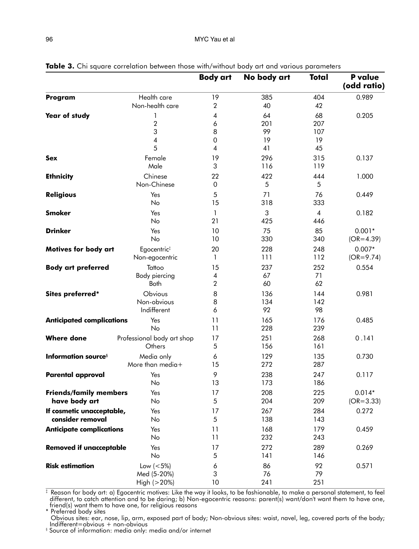|                                                |                                               | <b>Body art</b>              | No body art                 | <b>Total</b>                 | <b>P</b> value<br>(odd ratio) |
|------------------------------------------------|-----------------------------------------------|------------------------------|-----------------------------|------------------------------|-------------------------------|
| Program                                        | Health care<br>Non-health care                | 19<br>$\sqrt{2}$             | 385<br>40                   | 404<br>42                    | 0.989                         |
| Year of study                                  | 1<br>$\overline{2}$<br>3<br>4<br>5            | 4<br>6<br>8<br>$\Omega$<br>4 | 64<br>201<br>99<br>19<br>41 | 68<br>207<br>107<br>19<br>45 | 0.205                         |
| <b>Sex</b>                                     | Female<br>Male                                | 19<br>3                      | 296<br>116                  | 315<br>119                   | 0.137                         |
| <b>Ethnicity</b>                               | Chinese<br>Non-Chinese                        | 22<br>0                      | 422<br>5                    | 444<br>5                     | 1.000                         |
| <b>Religious</b>                               | Yes<br>No                                     | 5<br>15                      | 71<br>318                   | 76<br>333                    | 0.449                         |
| <b>Smoker</b>                                  | Yes<br>No                                     | $\mathbf{1}$<br>21           | 3<br>425                    | $\overline{4}$<br>446        | 0.182                         |
| <b>Drinker</b>                                 | Yes<br>No                                     | 10<br>10                     | 75<br>330                   | 85<br>340                    | $0.001*$<br>$(OR=4.39)$       |
| <b>Motives for body art</b>                    | Egocentric <sup>#</sup><br>Non-egocentric     | 20<br>1                      | 228<br>111                  | 248<br>112                   | $0.007*$<br>$(OR = 9.74)$     |
| <b>Body art preferred</b>                      | Tattoo<br>Body piercing<br><b>Both</b>        | 15<br>4<br>$\overline{2}$    | 237<br>67<br>60             | 252<br>71<br>62              | 0.554                         |
| Sites preferred*                               | Obvious<br>Non-obvious<br>Indifferent         | 8<br>8<br>6                  | 136<br>134<br>92            | 144<br>142<br>98             | 0.981                         |
| <b>Anticipated complications</b>               | Yes<br>No                                     | 11<br>11                     | 165<br>228                  | 176<br>239                   | 0.485                         |
| <b>Where done</b>                              | Professional body art shop<br>Others          | 17<br>5                      | 251<br>156                  | 268<br>161                   | 0.141                         |
| <b>Information sources</b>                     | Media only<br>More than media+                | 6<br>15                      | 129<br>272                  | 135<br>287                   | 0.730                         |
| <b>Parental approval</b>                       | Yes<br>No                                     | 9<br>13                      | 238<br>173                  | 247<br>186                   | 0.117                         |
| <b>Friends/family members</b><br>have body art | Yes<br>No                                     | 17<br>5                      | 208<br>204                  | 225<br>209                   | $0.014*$<br>$(OR = 3.33)$     |
| If cosmetic unacceptable,<br>consider removal  | Yes<br>No                                     | 17<br>5                      | 267<br>138                  | 284<br>143                   | 0.272                         |
| <b>Anticipate complications</b>                | Yes<br>No                                     | 11<br>11                     | 168<br>232                  | 179<br>243                   | 0.459                         |
| <b>Removed if unacceptable</b>                 | Yes<br>No                                     | 17<br>5                      | 272<br>141                  | 289<br>146                   | 0.269                         |
| <b>Risk estimation</b>                         | Low $(< 5\%)$<br>Med (5-20%)<br>High $(>20%)$ | 6<br>3<br>10                 | 86<br>76<br>241             | 92<br>79<br>251              | 0.571                         |

Table 3. Chi square correlation between those with/without body art and various parameters

 $^\ddag$  Reason for body art: a) Egocentric motives: Like the way it looks, to be fashionable, to make a personal statement, to feel different, to catch attention and to be daring; b) Non-egocentric reasons: parent(s) want/don't want them to have one, friend(s) want them to have one, for religious reasons \* Preferred body sites

Obvious sites: ear, nose, lip, arm, exposed part of body; Non-obvious sites: waist, navel, leg, covered parts of the body; Indifferent=obvious + non-obvious

§ Source of information: media only: media and/or internet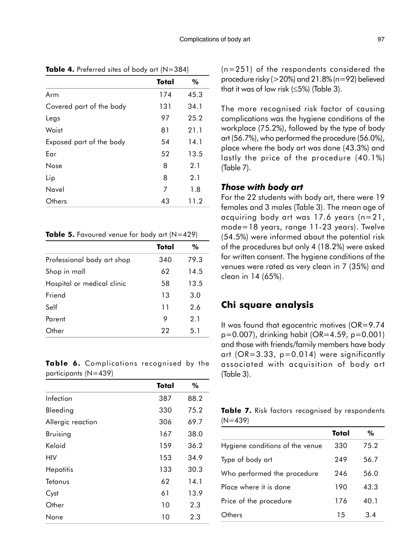|                          | Total | %    |
|--------------------------|-------|------|
| Arm                      | 174   | 45.3 |
| Covered part of the body | 131   | 34.1 |
| Legs                     | 97    | 25.2 |
| Waist                    | 81    | 21.1 |
| Exposed part of the body | 54    | 14.1 |
| Ear                      | 52    | 13.5 |
| <b>Nose</b>              | 8     | 2.1  |
| Lip                      | 8     | 2.1  |
| Navel                    | 7     | 1.8  |
| Others                   | 43    | 11.2 |

**Table 4.** Preferred sites of body art  $(N=384)$ 

#### Table 5. Favoured venue for body art  $(N=429)$

|                            | Total | %    |
|----------------------------|-------|------|
| Professional body art shop | 340   | 79.3 |
| Shop in mall               | 62    | 14.5 |
| Hospital or medical clinic | 58    | 13.5 |
| Friend                     | 13    | 3.0  |
| Self                       | 11    | 2.6  |
| Parent                     | 9     | 2.1  |
| Other                      | 22    | 5.1  |

Table 6. Complications recognised by the participants (N=439)

|                   | Total | %    |
|-------------------|-------|------|
| Infection         | 387   | 88.2 |
| Bleeding          | 330   | 75.2 |
| Allergic reaction | 306   | 69.7 |
| <b>Bruising</b>   | 167   | 38.0 |
| Keloid            | 159   | 36.2 |
| HIV               | 153   | 34.9 |
| Hepatitis         | 133   | 30.3 |
| Tetanus           | 62    | 14.1 |
| Cyst              | 61    | 13.9 |
| Other             | 10    | 2.3  |
| None              | 10    | 2.3  |

(n=251) of the respondents considered the procedure risky (>20%) and 21.8% (n=92) believed that it was of low risk  $(\leq 5\%)$  (Table 3).

The more recognised risk factor of causing complications was the hygiene conditions of the workplace (75.2%), followed by the type of body art (56.7%), who performed the procedure (56.0%), place where the body art was done (43.3%) and lastly the price of the procedure (40.1%) (Table 7).

#### Those with body art

For the 22 students with body art, there were 19 females and 3 males (Table 3). The mean age of acquiring body art was 17.6 years (n=21, mode=18 years, range 11-23 years). Twelve (54.5%) were informed about the potential risk of the procedures but only 4 (18.2%) were asked for written consent. The hygiene conditions of the venues were rated as very clean in 7 (35%) and clean in 14 (65%).

### Chi square analysis

It was found that egocentric motives (OR=9.74 p=0.007), drinking habit (OR=4.59, p=0.001) and those with friends/family members have body art ( $OR = 3.33$ ,  $p = 0.014$ ) were significantly associated with acquisition of body art (Table 3).

|           |  |  | Table 7. Risk factors recognised by respondents |
|-----------|--|--|-------------------------------------------------|
| $(N=439)$ |  |  |                                                 |

|                                 | Total | $\%$ |
|---------------------------------|-------|------|
| Hygiene conditions of the venue | 330   | 75.2 |
| Type of body art                | 249   | 56.7 |
| Who performed the procedure     | 246   | 56.0 |
| Place where it is done          | 190   | 43.3 |
| Price of the procedure          | 176   | 40.1 |
| )thers                          | 15    | 34   |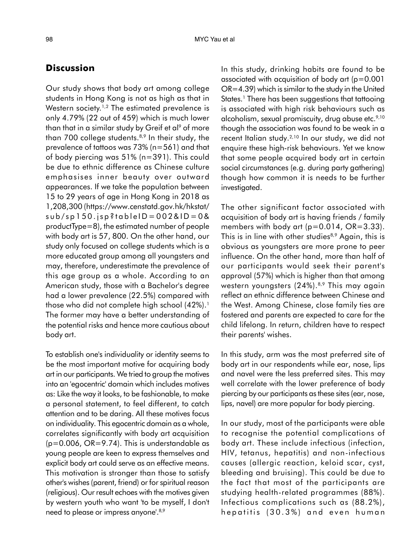## **Discussion**

Our study shows that body art among college students in Hong Kong is not as high as that in Western society.<sup>1,2</sup> The estimated prevalence is only 4.79% (22 out of 459) which is much lower than that in a similar study by Greif et al<sup>9</sup> of more than 700 college students.<sup>8,9</sup> In their study, the prevalence of tattoos was 73% (n=561) and that of body piercing was 51% (n=391). This could be due to ethnic difference as Chinese culture emphasises inner beauty over outward appearances. If we take the population between 15 to 29 years of age in Hong Kong in 2018 as 1,208,300 (https://www.censtatd.gov.hk/hkstat/  $sub/sp150.jpg$ tableID = 002&ID = 0& productType=8), the estimated number of people with body art is 57, 800. On the other hand, our study only focused on college students which is a more educated group among all youngsters and may, therefore, underestimate the prevalence of this age group as a whole. According to an American study, those with a Bachelor's degree had a lower prevalence (22.5%) compared with those who did not complete high school  $(42\%)$ .<sup>1</sup> The former may have a better understanding of the potential risks and hence more cautious about body art.

To establish one's individuality or identity seems to be the most important motive for acquiring body art in our participants. We tried to group the motives into an 'egocentric' domain which includes motives as: Like the way it looks, to be fashionable, to make a personal statement, to feel different, to catch attention and to be daring. All these motives focus on individuality. This egocentric domain as a whole, correlates significantly with body art acquisition  $(p=0.006, OR=9.74)$ . This is understandable as young people are keen to express themselves and explicit body art could serve as an effective means. This motivation is stronger than those to satisfy other's wishes (parent, friend) or for spiritual reason (religious). Our result echoes with the motives given by western youth who want 'to be myself, I don't need to please or impress anyone'.<sup>8,9</sup>

In this study, drinking habits are found to be associated with acquisition of body art (p=0.001 OR=4.39) which is similar to the study in the United States.<sup>1</sup> There has been suggestions that tattooing is associated with high risk behaviours such as alcoholism, sexual promiscuity, drug abuse etc.<sup>9,10</sup> though the association was found to be weak in a recent Italian study.<sup>2,10</sup> In our study, we did not enquire these high-risk behaviours. Yet we know that some people acquired body art in certain social circumstances (e.g. during party gathering) though how common it is needs to be further investigated.

The other significant factor associated with acquisition of body art is having friends / family members with body art  $(p=0.014, OR=3.33)$ . This is in line with other studies<sup>8,9</sup> Again, this is obvious as youngsters are more prone to peer influence. On the other hand, more than half of our participants would seek their parent's approval (57%) which is higher than that among western youngsters (24%).<sup>8,9</sup> This may again reflect an ethnic difference between Chinese and the West. Among Chinese, close family ties are fostered and parents are expected to care for the child lifelong. In return, children have to respect their parents' wishes.

In this study, arm was the most preferred site of body art in our respondents while ear, nose, lips and navel were the less preferred sites. This may well correlate with the lower preference of body piercing by our participants as these sites (ear, nose, lips, navel) are more popular for body piercing.

In our study, most of the participants were able to recognise the potential complications of body art. These include infectious (infection, HIV, tetanus, hepatitis) and non-infectious causes (allergic reaction, keloid scar, cyst, bleeding and bruising). This could be due to the fact that most of the participants are studying health-related programmes (88%). Infectious complications such as (88.2%), hepatitis (30.3%) and even human